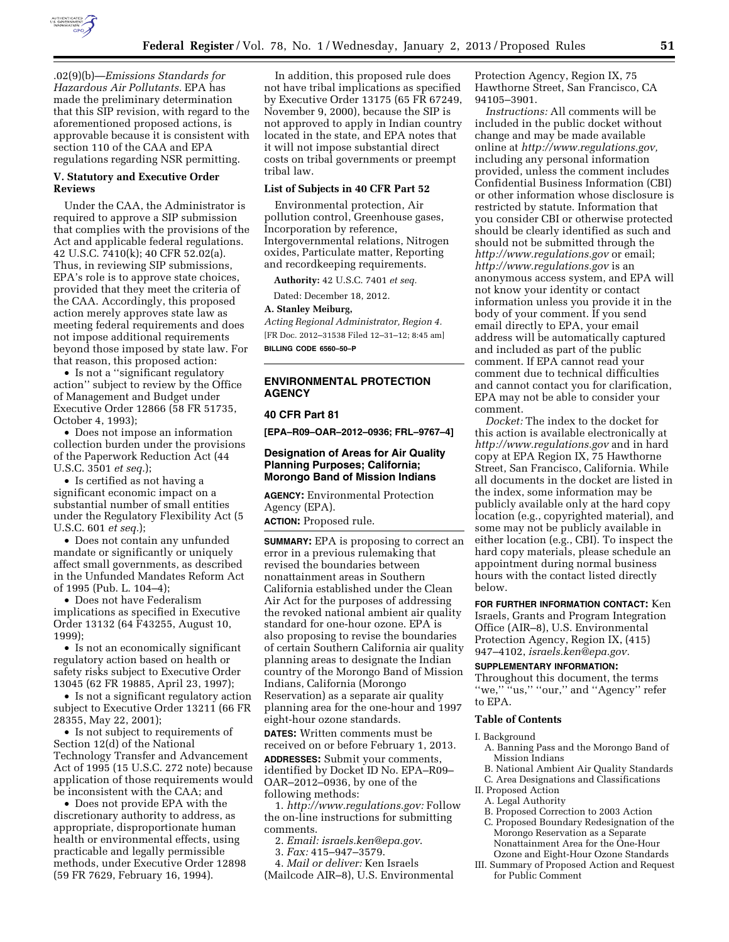

.02(9)(b)—*Emissions Standards for Hazardous Air Pollutants.* EPA has made the preliminary determination that this SIP revision, with regard to the aforementioned proposed actions, is approvable because it is consistent with section 110 of the CAA and EPA regulations regarding NSR permitting.

### **V. Statutory and Executive Order Reviews**

Under the CAA, the Administrator is required to approve a SIP submission that complies with the provisions of the Act and applicable federal regulations. 42 U.S.C. 7410(k); 40 CFR 52.02(a). Thus, in reviewing SIP submissions, EPA's role is to approve state choices, provided that they meet the criteria of the CAA. Accordingly, this proposed action merely approves state law as meeting federal requirements and does not impose additional requirements beyond those imposed by state law. For that reason, this proposed action:

• Is not a ''significant regulatory action'' subject to review by the Office of Management and Budget under Executive Order 12866 (58 FR 51735, October 4, 1993);

• Does not impose an information collection burden under the provisions of the Paperwork Reduction Act (44 U.S.C. 3501 *et seq.*);

• Is certified as not having a significant economic impact on a substantial number of small entities under the Regulatory Flexibility Act (5 U.S.C. 601 *et seq.*);

• Does not contain any unfunded mandate or significantly or uniquely affect small governments, as described in the Unfunded Mandates Reform Act of 1995 (Pub. L. 104–4);

• Does not have Federalism implications as specified in Executive Order 13132 (64 F43255, August 10, 1999);

• Is not an economically significant regulatory action based on health or safety risks subject to Executive Order 13045 (62 FR 19885, April 23, 1997);

• Is not a significant regulatory action subject to Executive Order 13211 (66 FR 28355, May 22, 2001);

• Is not subject to requirements of Section 12(d) of the National Technology Transfer and Advancement Act of 1995 (15 U.S.C. 272 note) because application of those requirements would be inconsistent with the CAA; and

• Does not provide EPA with the discretionary authority to address, as appropriate, disproportionate human health or environmental effects, using practicable and legally permissible methods, under Executive Order 12898 (59 FR 7629, February 16, 1994).

In addition, this proposed rule does not have tribal implications as specified by Executive Order 13175 (65 FR 67249, November 9, 2000), because the SIP is not approved to apply in Indian country located in the state, and EPA notes that it will not impose substantial direct costs on tribal governments or preempt tribal law.

### **List of Subjects in 40 CFR Part 52**

Environmental protection, Air pollution control, Greenhouse gases, Incorporation by reference, Intergovernmental relations, Nitrogen oxides, Particulate matter, Reporting and recordkeeping requirements.

**Authority:** 42 U.S.C. 7401 *et seq.* 

Dated: December 18, 2012.

#### **A. Stanley Meiburg,**

*Acting Regional Administrator, Region 4.*  [FR Doc. 2012–31538 Filed 12–31–12; 8:45 am] **BILLING CODE 6560–50–P** 

# **ENVIRONMENTAL PROTECTION AGENCY**

### **40 CFR Part 81**

**[EPA–R09–OAR–2012–0936; FRL–9767–4]** 

# **Designation of Areas for Air Quality Planning Purposes; California; Morongo Band of Mission Indians**

**AGENCY:** Environmental Protection Agency (EPA).

**ACTION:** Proposed rule.

**SUMMARY:** EPA is proposing to correct an error in a previous rulemaking that revised the boundaries between nonattainment areas in Southern California established under the Clean Air Act for the purposes of addressing the revoked national ambient air quality standard for one-hour ozone. EPA is also proposing to revise the boundaries of certain Southern California air quality planning areas to designate the Indian country of the Morongo Band of Mission Indians, California (Morongo Reservation) as a separate air quality planning area for the one-hour and 1997 eight-hour ozone standards.

**DATES:** Written comments must be received on or before February 1, 2013.

**ADDRESSES:** Submit your comments, identified by Docket ID No. EPA–R09– OAR–2012–0936, by one of the following methods:

1. *[http://www.regulations.gov:](http://www.regulations.gov)* Follow the on-line instructions for submitting comments.

2. *Email: [israels.ken@epa.gov](mailto:israels.ken@epa.gov)*.

3. *Fax:* 415–947–3579.

4. *Mail or deliver:* Ken Israels (Mailcode AIR–8), U.S. Environmental

Protection Agency, Region IX, 75 Hawthorne Street, San Francisco, CA 94105–3901.

*Instructions:* All comments will be included in the public docket without change and may be made available online at *[http://www.regulations.gov,](http://www.regulations.gov)*  including any personal information provided, unless the comment includes Confidential Business Information (CBI) or other information whose disclosure is restricted by statute. Information that you consider CBI or otherwise protected should be clearly identified as such and should not be submitted through the *<http://www.regulations.gov>* or email; *<http://www.regulations.gov>* is an anonymous access system, and EPA will not know your identity or contact information unless you provide it in the body of your comment. If you send email directly to EPA, your email address will be automatically captured and included as part of the public comment. If EPA cannot read your comment due to technical difficulties and cannot contact you for clarification, EPA may not be able to consider your comment.

*Docket:* The index to the docket for this action is available electronically at *<http://www.regulations.gov>* and in hard copy at EPA Region IX, 75 Hawthorne Street, San Francisco, California. While all documents in the docket are listed in the index, some information may be publicly available only at the hard copy location (e.g., copyrighted material), and some may not be publicly available in either location (e.g., CBI). To inspect the hard copy materials, please schedule an appointment during normal business hours with the contact listed directly below.

**FOR FURTHER INFORMATION CONTACT:** Ken Israels, Grants and Program Integration Office (AIR–8), U.S. Environmental Protection Agency, Region IX, (415) 947–4102, *[israels.ken@epa.gov.](mailto:israels.ken@epa.gov)* 

# **SUPPLEMENTARY INFORMATION:**

Throughout this document, the terms "we," "us," "our," and "Agency" refer to EPA.

# **Table of Contents**

#### I. Background

- A. Banning Pass and the Morongo Band of Mission Indians
- B. National Ambient Air Quality Standards
- C. Area Designations and Classifications
- II. Proposed Action
	- A. Legal Authority
	- B. Proposed Correction to 2003 Action
- C. Proposed Boundary Redesignation of the Morongo Reservation as a Separate Nonattainment Area for the One-Hour Ozone and Eight-Hour Ozone Standards
- III. Summary of Proposed Action and Request for Public Comment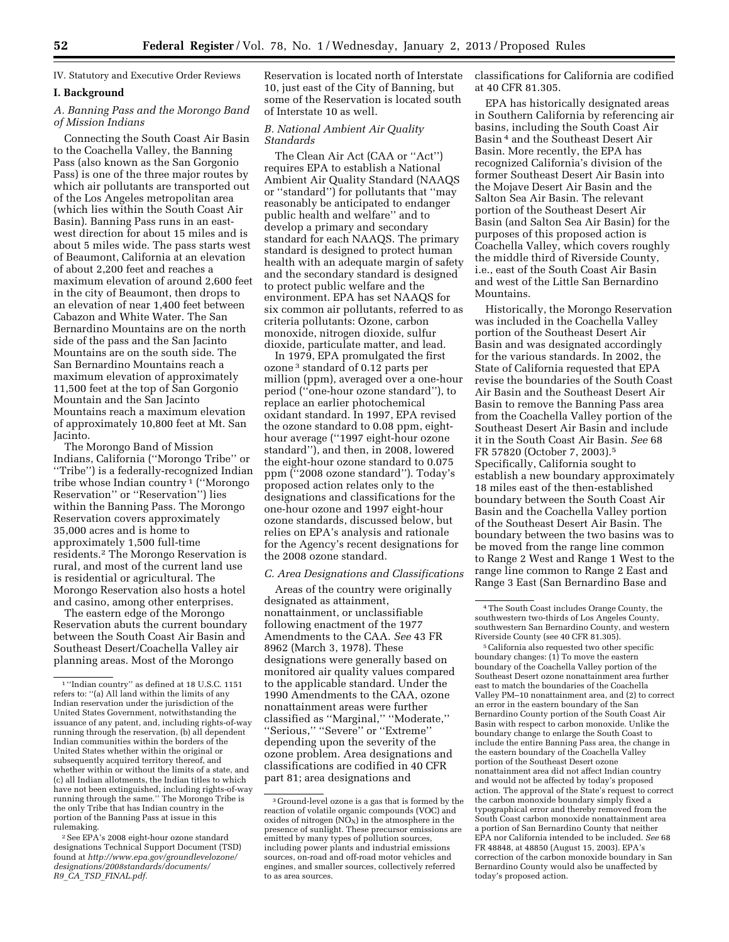IV. Statutory and Executive Order Reviews

### **I. Background**

# *A. Banning Pass and the Morongo Band of Mission Indians*

Connecting the South Coast Air Basin to the Coachella Valley, the Banning Pass (also known as the San Gorgonio Pass) is one of the three major routes by which air pollutants are transported out of the Los Angeles metropolitan area (which lies within the South Coast Air Basin). Banning Pass runs in an eastwest direction for about 15 miles and is about 5 miles wide. The pass starts west of Beaumont, California at an elevation of about 2,200 feet and reaches a maximum elevation of around 2,600 feet in the city of Beaumont, then drops to an elevation of near 1,400 feet between Cabazon and White Water. The San Bernardino Mountains are on the north side of the pass and the San Jacinto Mountains are on the south side. The San Bernardino Mountains reach a maximum elevation of approximately 11,500 feet at the top of San Gorgonio Mountain and the San Jacinto Mountains reach a maximum elevation of approximately 10,800 feet at Mt. San Jacinto.

The Morongo Band of Mission Indians, California (''Morongo Tribe'' or ''Tribe'') is a federally-recognized Indian tribe whose Indian country 1 (''Morongo Reservation'' or ''Reservation'') lies within the Banning Pass. The Morongo Reservation covers approximately 35,000 acres and is home to approximately 1,500 full-time residents.2 The Morongo Reservation is rural, and most of the current land use is residential or agricultural. The Morongo Reservation also hosts a hotel and casino, among other enterprises.

The eastern edge of the Morongo Reservation abuts the current boundary between the South Coast Air Basin and Southeast Desert/Coachella Valley air planning areas. Most of the Morongo

Reservation is located north of Interstate 10, just east of the City of Banning, but some of the Reservation is located south of Interstate 10 as well.

## *B. National Ambient Air Quality Standards*

The Clean Air Act (CAA or ''Act'') requires EPA to establish a National Ambient Air Quality Standard (NAAQS or ''standard'') for pollutants that ''may reasonably be anticipated to endanger public health and welfare'' and to develop a primary and secondary standard for each NAAQS. The primary standard is designed to protect human health with an adequate margin of safety and the secondary standard is designed to protect public welfare and the environment. EPA has set NAAQS for six common air pollutants, referred to as criteria pollutants: Ozone, carbon monoxide, nitrogen dioxide, sulfur dioxide, particulate matter, and lead.

In 1979, EPA promulgated the first ozone 3 standard of 0.12 parts per million (ppm), averaged over a one-hour period (''one-hour ozone standard''), to replace an earlier photochemical oxidant standard. In 1997, EPA revised the ozone standard to 0.08 ppm, eighthour average (''1997 eight-hour ozone standard''), and then, in 2008, lowered the eight-hour ozone standard to 0.075 ppm (''2008 ozone standard''). Today's proposed action relates only to the designations and classifications for the one-hour ozone and 1997 eight-hour ozone standards, discussed below, but relies on EPA's analysis and rationale for the Agency's recent designations for the 2008 ozone standard.

# *C. Area Designations and Classifications*

Areas of the country were originally designated as attainment, nonattainment, or unclassifiable following enactment of the 1977 Amendments to the CAA. *See* 43 FR 8962 (March 3, 1978). These designations were generally based on monitored air quality values compared to the applicable standard. Under the 1990 Amendments to the CAA, ozone nonattainment areas were further classified as ''Marginal,'' ''Moderate,'' ''Serious,'' ''Severe'' or ''Extreme'' depending upon the severity of the ozone problem. Area designations and classifications are codified in 40 CFR part 81; area designations and

classifications for California are codified at 40 CFR 81.305.

EPA has historically designated areas in Southern California by referencing air basins, including the South Coast Air Basin 4 and the Southeast Desert Air Basin. More recently, the EPA has recognized California's division of the former Southeast Desert Air Basin into the Mojave Desert Air Basin and the Salton Sea Air Basin. The relevant portion of the Southeast Desert Air Basin (and Salton Sea Air Basin) for the purposes of this proposed action is Coachella Valley, which covers roughly the middle third of Riverside County, i.e., east of the South Coast Air Basin and west of the Little San Bernardino Mountains.

Historically, the Morongo Reservation was included in the Coachella Valley portion of the Southeast Desert Air Basin and was designated accordingly for the various standards. In 2002, the State of California requested that EPA revise the boundaries of the South Coast Air Basin and the Southeast Desert Air Basin to remove the Banning Pass area from the Coachella Valley portion of the Southeast Desert Air Basin and include it in the South Coast Air Basin. *See* 68 FR 57820 (October 7, 2003).5 Specifically, California sought to establish a new boundary approximately 18 miles east of the then-established boundary between the South Coast Air Basin and the Coachella Valley portion of the Southeast Desert Air Basin. The boundary between the two basins was to be moved from the range line common to Range 2 West and Range 1 West to the range line common to Range 2 East and Range 3 East (San Bernardino Base and

5California also requested two other specific boundary changes: (1) To move the eastern boundary of the Coachella Valley portion of the Southeast Desert ozone nonattainment area further east to match the boundaries of the Coachella Valley PM–10 nonattainment area, and (2) to correct an error in the eastern boundary of the San Bernardino County portion of the South Coast Air Basin with respect to carbon monoxide. Unlike the boundary change to enlarge the South Coast to include the entire Banning Pass area, the change in the eastern boundary of the Coachella Valley portion of the Southeast Desert ozone nonattainment area did not affect Indian country and would not be affected by today's proposed action. The approval of the State's request to correct the carbon monoxide boundary simply fixed a typographical error and thereby removed from the South Coast carbon monoxide nonattainment area a portion of San Bernardino County that neither EPA nor California intended to be included. *See* 68 FR 48848, at 48850 (August 15, 2003). EPA's correction of the carbon monoxide boundary in San Bernardino County would also be unaffected by today's proposed action.

<sup>1</sup> ''Indian country'' as defined at 18 U.S.C. 1151 refers to: ''(a) All land within the limits of any Indian reservation under the jurisdiction of the United States Government, notwithstanding the issuance of any patent, and, including rights-of-way running through the reservation, (b) all dependent Indian communities within the borders of the United States whether within the original or subsequently acquired territory thereof, and whether within or without the limits of a state, and (c) all Indian allotments, the Indian titles to which have not been extinguished, including rights-of-way running through the same.'' The Morongo Tribe is the only Tribe that has Indian country in the portion of the Banning Pass at issue in this rulemaking.

<sup>2</sup>See EPA's 2008 eight-hour ozone standard designations Technical Support Document (TSD) found at *[http://www.epa.gov/groundlevelozone/](http://www.epa.gov/groundlevelozone/designations/2008standards/documents/R9_CA_TSD_FINAL.pdf) [designations/2008standards/documents/](http://www.epa.gov/groundlevelozone/designations/2008standards/documents/R9_CA_TSD_FINAL.pdf)  R9*\_*CA*\_*TSD*\_*[FINAL.pdf.](http://www.epa.gov/groundlevelozone/designations/2008standards/documents/R9_CA_TSD_FINAL.pdf)* 

<sup>3</sup> Ground-level ozone is a gas that is formed by the reaction of volatile organic compounds (VOC) and oxides of nitrogen  $(NO_X)$  in the atmosphere in the presence of sunlight. These precursor emissions are emitted by many types of pollution sources, including power plants and industrial emissions sources, on-road and off-road motor vehicles and engines, and smaller sources, collectively referred to as area sources.

<sup>4</sup>The South Coast includes Orange County, the southwestern two-thirds of Los Angeles County, southwestern San Bernardino County, and western Riverside County (see 40 CFR 81.305).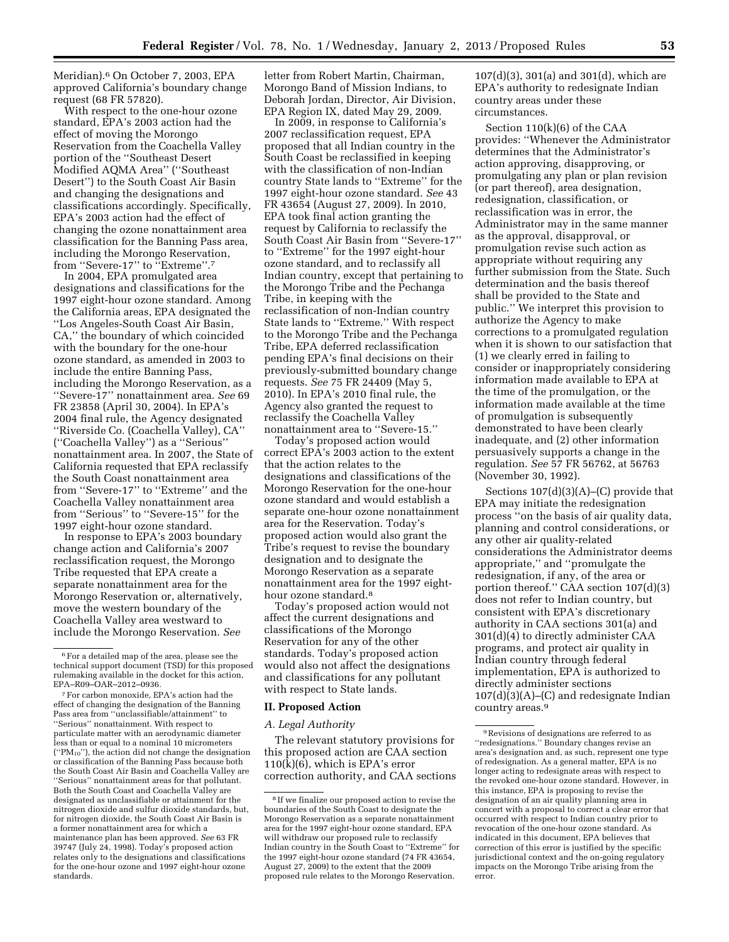Meridian).6 On October 7, 2003, EPA approved California's boundary change request (68 FR 57820).

With respect to the one-hour ozone standard, EPA's 2003 action had the effect of moving the Morongo Reservation from the Coachella Valley portion of the ''Southeast Desert Modified AQMA Area'' (''Southeast Desert'') to the South Coast Air Basin and changing the designations and classifications accordingly. Specifically, EPA's 2003 action had the effect of changing the ozone nonattainment area classification for the Banning Pass area, including the Morongo Reservation, from ''Severe-17'' to ''Extreme''.7

In 2004, EPA promulgated area designations and classifications for the 1997 eight-hour ozone standard. Among the California areas, EPA designated the ''Los Angeles-South Coast Air Basin, CA,'' the boundary of which coincided with the boundary for the one-hour ozone standard, as amended in 2003 to include the entire Banning Pass, including the Morongo Reservation, as a ''Severe-17'' nonattainment area. *See* 69 FR 23858 (April 30, 2004). In EPA's 2004 final rule, the Agency designated ''Riverside Co. (Coachella Valley), CA'' (''Coachella Valley'') as a ''Serious'' nonattainment area. In 2007, the State of California requested that EPA reclassify the South Coast nonattainment area from ''Severe-17'' to ''Extreme'' and the Coachella Valley nonattainment area from ''Serious'' to ''Severe-15'' for the 1997 eight-hour ozone standard.

In response to EPA's 2003 boundary change action and California's 2007 reclassification request, the Morongo Tribe requested that EPA create a separate nonattainment area for the Morongo Reservation or, alternatively, move the western boundary of the Coachella Valley area westward to include the Morongo Reservation. *See* 

letter from Robert Martin, Chairman, Morongo Band of Mission Indians, to Deborah Jordan, Director, Air Division, EPA Region IX, dated May 29, 2009.

In 2009, in response to California's 2007 reclassification request, EPA proposed that all Indian country in the South Coast be reclassified in keeping with the classification of non-Indian country State lands to ''Extreme'' for the 1997 eight-hour ozone standard. *See* 43 FR 43654 (August 27, 2009). In 2010, EPA took final action granting the request by California to reclassify the South Coast Air Basin from ''Severe-17'' to ''Extreme'' for the 1997 eight-hour ozone standard, and to reclassify all Indian country, except that pertaining to the Morongo Tribe and the Pechanga Tribe, in keeping with the reclassification of non-Indian country State lands to ''Extreme.'' With respect to the Morongo Tribe and the Pechanga Tribe, EPA deferred reclassification pending EPA's final decisions on their previously-submitted boundary change requests. *See* 75 FR 24409 (May 5, 2010). In EPA's 2010 final rule, the Agency also granted the request to reclassify the Coachella Valley nonattainment area to ''Severe-15.''

Today's proposed action would correct EPA's 2003 action to the extent that the action relates to the designations and classifications of the Morongo Reservation for the one-hour ozone standard and would establish a separate one-hour ozone nonattainment area for the Reservation. Today's proposed action would also grant the Tribe's request to revise the boundary designation and to designate the Morongo Reservation as a separate nonattainment area for the 1997 eighthour ozone standard.8

Today's proposed action would not affect the current designations and classifications of the Morongo Reservation for any of the other standards. Today's proposed action would also not affect the designations and classifications for any pollutant with respect to State lands.

#### **II. Proposed Action**

#### *A. Legal Authority*

The relevant statutory provisions for this proposed action are CAA section 110(k)(6), which is EPA's error correction authority, and CAA sections

107(d)(3), 301(a) and 301(d), which are EPA's authority to redesignate Indian country areas under these circumstances.

Section 110(k)(6) of the CAA provides: ''Whenever the Administrator determines that the Administrator's action approving, disapproving, or promulgating any plan or plan revision (or part thereof), area designation, redesignation, classification, or reclassification was in error, the Administrator may in the same manner as the approval, disapproval, or promulgation revise such action as appropriate without requiring any further submission from the State. Such determination and the basis thereof shall be provided to the State and public.'' We interpret this provision to authorize the Agency to make corrections to a promulgated regulation when it is shown to our satisfaction that (1) we clearly erred in failing to consider or inappropriately considering information made available to EPA at the time of the promulgation, or the information made available at the time of promulgation is subsequently demonstrated to have been clearly inadequate, and (2) other information persuasively supports a change in the regulation. *See* 57 FR 56762, at 56763 (November 30, 1992).

Sections 107(d)(3)(A)–(C) provide that EPA may initiate the redesignation process ''on the basis of air quality data, planning and control considerations, or any other air quality-related considerations the Administrator deems appropriate,'' and ''promulgate the redesignation, if any, of the area or portion thereof.'' CAA section 107(d)(3) does not refer to Indian country, but consistent with EPA's discretionary authority in CAA sections 301(a) and 301(d)(4) to directly administer CAA programs, and protect air quality in Indian country through federal implementation, EPA is authorized to directly administer sections 107(d)(3)(A)–(C) and redesignate Indian country areas.9

<sup>6</sup>For a detailed map of the area, please see the technical support document (TSD) for this proposed rulemaking available in the docket for this action, EPA–R09–OAR–2012–0936.

<sup>7</sup>For carbon monoxide, EPA's action had the effect of changing the designation of the Banning Pass area from ''unclassifiable/attainment'' to ''Serious'' nonattainment. With respect to particulate matter with an aerodynamic diameter less than or equal to a nominal 10 micrometers (''PM10''), the action did not change the designation or classification of the Banning Pass because both the South Coast Air Basin and Coachella Valley are ''Serious'' nonattainment areas for that pollutant. Both the South Coast and Coachella Valley are designated as unclassifiable or attainment for the nitrogen dioxide and sulfur dioxide standards, but, for nitrogen dioxide, the South Coast Air Basin is a former nonattainment area for which a maintenance plan has been approved. *See* 63 FR 39747 (July 24, 1998). Today's proposed action relates only to the designations and classifications for the one-hour ozone and 1997 eight-hour ozone standards.

<sup>8</sup> If we finalize our proposed action to revise the boundaries of the South Coast to designate the Morongo Reservation as a separate nonattainment area for the 1997 eight-hour ozone standard, EPA will withdraw our proposed rule to reclassify Indian country in the South Coast to ''Extreme'' for the 1997 eight-hour ozone standard (74 FR 43654, August 27, 2009) to the extent that the 2009 proposed rule relates to the Morongo Reservation.

 $^{\rm 9}$  Revisions of designations are referred to as ''redesignations.'' Boundary changes revise an area's designation and, as such, represent one type of redesignation. As a general matter, EPA is no longer acting to redesignate areas with respect to the revoked one-hour ozone standard. However, in this instance, EPA is proposing to revise the designation of an air quality planning area in concert with a proposal to correct a clear error that occurred with respect to Indian country prior to revocation of the one-hour ozone standard. As indicated in this document, EPA believes that correction of this error is justified by the specific jurisdictional context and the on-going regulatory impacts on the Morongo Tribe arising from the error.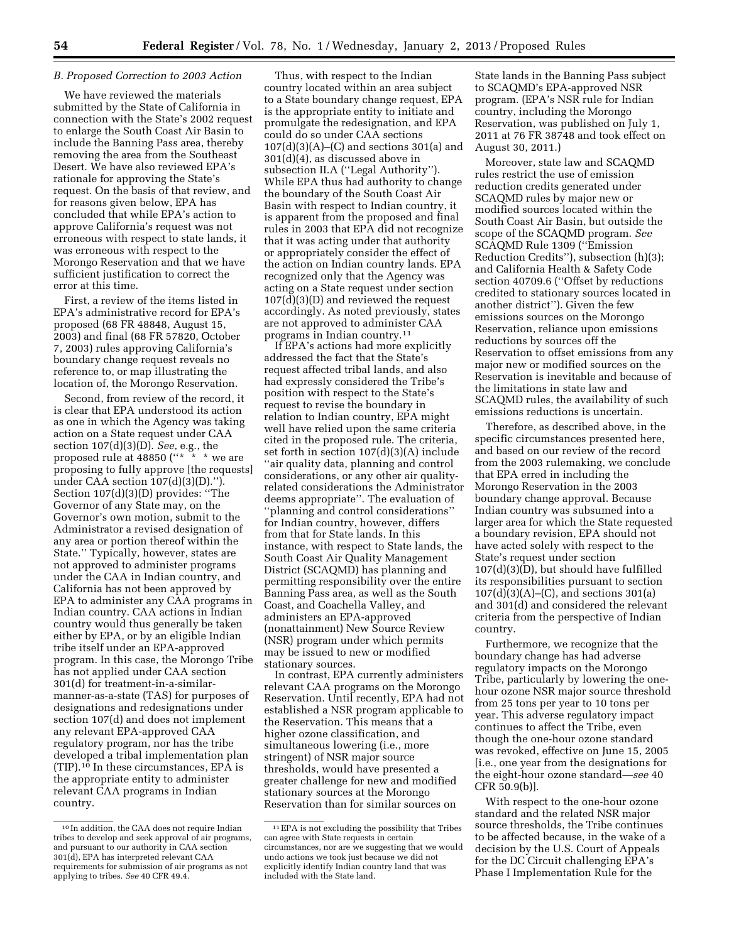#### *B. Proposed Correction to 2003 Action*

We have reviewed the materials submitted by the State of California in connection with the State's 2002 request to enlarge the South Coast Air Basin to include the Banning Pass area, thereby removing the area from the Southeast Desert. We have also reviewed EPA's rationale for approving the State's request. On the basis of that review, and for reasons given below, EPA has concluded that while EPA's action to approve California's request was not erroneous with respect to state lands, it was erroneous with respect to the Morongo Reservation and that we have sufficient justification to correct the error at this time.

First, a review of the items listed in EPA's administrative record for EPA's proposed (68 FR 48848, August 15, 2003) and final (68 FR 57820, October 7, 2003) rules approving California's boundary change request reveals no reference to, or map illustrating the location of, the Morongo Reservation.

Second, from review of the record, it is clear that EPA understood its action as one in which the Agency was taking action on a State request under CAA section 107(d)(3)(D). *See,* e.g., the proposed rule at 48850 (''\* \* \* we are proposing to fully approve [the requests] under CAA section 107(d)(3)(D).''). Section 107(d)(3)(D) provides: ''The Governor of any State may, on the Governor's own motion, submit to the Administrator a revised designation of any area or portion thereof within the State.'' Typically, however, states are not approved to administer programs under the CAA in Indian country, and California has not been approved by EPA to administer any CAA programs in Indian country. CAA actions in Indian country would thus generally be taken either by EPA, or by an eligible Indian tribe itself under an EPA-approved program. In this case, the Morongo Tribe has not applied under CAA section 301(d) for treatment-in-a-similarmanner-as-a-state (TAS) for purposes of designations and redesignations under section 107(d) and does not implement any relevant EPA-approved CAA regulatory program, nor has the tribe developed a tribal implementation plan (TIP).10 In these circumstances, EPA is the appropriate entity to administer relevant CAA programs in Indian country.

Thus, with respect to the Indian country located within an area subject to a State boundary change request, EPA is the appropriate entity to initiate and promulgate the redesignation, and EPA could do so under CAA sections  $107(d)(3)(A)$ –(C) and sections 301(a) and 301(d)(4), as discussed above in subsection II.A (''Legal Authority''). While EPA thus had authority to change the boundary of the South Coast Air Basin with respect to Indian country, it is apparent from the proposed and final rules in 2003 that EPA did not recognize that it was acting under that authority or appropriately consider the effect of the action on Indian country lands. EPA recognized only that the Agency was acting on a State request under section 107(d)(3)(D) and reviewed the request accordingly. As noted previously, states are not approved to administer CAA programs in Indian country.11

If EPA's actions had more explicitly addressed the fact that the State's request affected tribal lands, and also had expressly considered the Tribe's position with respect to the State's request to revise the boundary in relation to Indian country, EPA might well have relied upon the same criteria cited in the proposed rule. The criteria, set forth in section 107(d)(3)(A) include ''air quality data, planning and control considerations, or any other air qualityrelated considerations the Administrator deems appropriate''. The evaluation of ''planning and control considerations'' for Indian country, however, differs from that for State lands. In this instance, with respect to State lands, the South Coast Air Quality Management District (SCAQMD) has planning and permitting responsibility over the entire Banning Pass area, as well as the South Coast, and Coachella Valley, and administers an EPA-approved (nonattainment) New Source Review (NSR) program under which permits may be issued to new or modified stationary sources.

In contrast, EPA currently administers relevant CAA programs on the Morongo Reservation. Until recently, EPA had not established a NSR program applicable to the Reservation. This means that a higher ozone classification, and simultaneous lowering (i.e., more stringent) of NSR major source thresholds, would have presented a greater challenge for new and modified stationary sources at the Morongo Reservation than for similar sources on

State lands in the Banning Pass subject to SCAQMD's EPA-approved NSR program. (EPA's NSR rule for Indian country, including the Morongo Reservation, was published on July 1, 2011 at 76 FR 38748 and took effect on August 30, 2011.)

Moreover, state law and SCAQMD rules restrict the use of emission reduction credits generated under SCAQMD rules by major new or modified sources located within the South Coast Air Basin, but outside the scope of the SCAQMD program. *See*  SCAQMD Rule 1309 (''Emission Reduction Credits''), subsection (h)(3); and California Health & Safety Code section 40709.6 (''Offset by reductions credited to stationary sources located in another district''). Given the few emissions sources on the Morongo Reservation, reliance upon emissions reductions by sources off the Reservation to offset emissions from any major new or modified sources on the Reservation is inevitable and because of the limitations in state law and SCAQMD rules, the availability of such emissions reductions is uncertain.

Therefore, as described above, in the specific circumstances presented here, and based on our review of the record from the 2003 rulemaking, we conclude that EPA erred in including the Morongo Reservation in the 2003 boundary change approval. Because Indian country was subsumed into a larger area for which the State requested a boundary revision, EPA should not have acted solely with respect to the State's request under section 107(d)(3)(D), but should have fulfilled its responsibilities pursuant to section  $107(d)(3)(A)$ –(C), and sections 301(a) and 301(d) and considered the relevant criteria from the perspective of Indian country.

Furthermore, we recognize that the boundary change has had adverse regulatory impacts on the Morongo Tribe, particularly by lowering the onehour ozone NSR major source threshold from 25 tons per year to 10 tons per year. This adverse regulatory impact continues to affect the Tribe, even though the one-hour ozone standard was revoked, effective on June 15, 2005 [i.e., one year from the designations for the eight-hour ozone standard—*see* 40 CFR 50.9(b)].

With respect to the one-hour ozone standard and the related NSR major source thresholds, the Tribe continues to be affected because, in the wake of a decision by the U.S. Court of Appeals for the DC Circuit challenging EPA's Phase I Implementation Rule for the

<sup>10</sup> In addition, the CAA does not require Indian tribes to develop and seek approval of air programs, and pursuant to our authority in CAA section 301(d), EPA has interpreted relevant CAA requirements for submission of air programs as not applying to tribes. *See* 40 CFR 49.4.

<sup>11</sup>EPA is not excluding the possibility that Tribes can agree with State requests in certain circumstances, nor are we suggesting that we would undo actions we took just because we did not explicitly identify Indian country land that was included with the State land.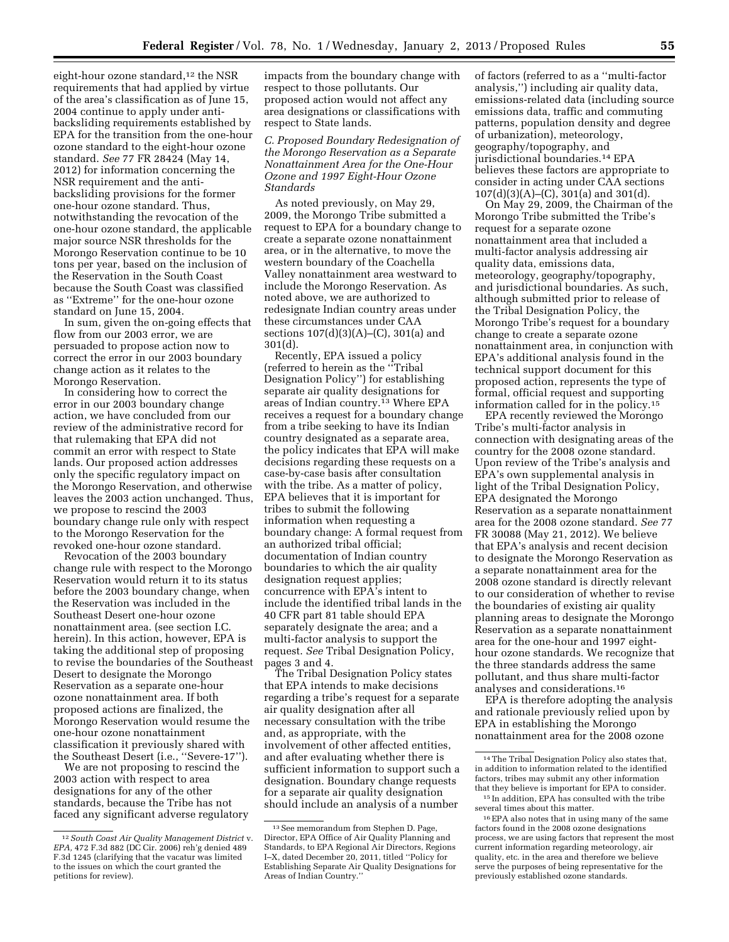eight-hour ozone standard,<sup>12</sup> the NSR requirements that had applied by virtue of the area's classification as of June 15, 2004 continue to apply under antibacksliding requirements established by EPA for the transition from the one-hour ozone standard to the eight-hour ozone standard. *See* 77 FR 28424 (May 14, 2012) for information concerning the NSR requirement and the antibacksliding provisions for the former one-hour ozone standard. Thus, notwithstanding the revocation of the one-hour ozone standard, the applicable major source NSR thresholds for the Morongo Reservation continue to be 10 tons per year, based on the inclusion of the Reservation in the South Coast because the South Coast was classified as ''Extreme'' for the one-hour ozone standard on June 15, 2004.

In sum, given the on-going effects that flow from our 2003 error, we are persuaded to propose action now to correct the error in our 2003 boundary change action as it relates to the Morongo Reservation.

In considering how to correct the error in our 2003 boundary change action, we have concluded from our review of the administrative record for that rulemaking that EPA did not commit an error with respect to State lands. Our proposed action addresses only the specific regulatory impact on the Morongo Reservation, and otherwise leaves the 2003 action unchanged. Thus, we propose to rescind the 2003 boundary change rule only with respect to the Morongo Reservation for the revoked one-hour ozone standard.

Revocation of the 2003 boundary change rule with respect to the Morongo Reservation would return it to its status before the 2003 boundary change, when the Reservation was included in the Southeast Desert one-hour ozone nonattainment area. (see section I.C. herein). In this action, however, EPA is taking the additional step of proposing to revise the boundaries of the Southeast Desert to designate the Morongo Reservation as a separate one-hour ozone nonattainment area. If both proposed actions are finalized, the Morongo Reservation would resume the one-hour ozone nonattainment classification it previously shared with the Southeast Desert (i.e., ''Severe-17'').

We are not proposing to rescind the 2003 action with respect to area designations for any of the other standards, because the Tribe has not faced any significant adverse regulatory

impacts from the boundary change with respect to those pollutants. Our proposed action would not affect any area designations or classifications with respect to State lands.

*C. Proposed Boundary Redesignation of the Morongo Reservation as a Separate Nonattainment Area for the One-Hour Ozone and 1997 Eight-Hour Ozone Standards* 

As noted previously, on May 29, 2009, the Morongo Tribe submitted a request to EPA for a boundary change to create a separate ozone nonattainment area, or in the alternative, to move the western boundary of the Coachella Valley nonattainment area westward to include the Morongo Reservation. As noted above, we are authorized to redesignate Indian country areas under these circumstances under CAA sections  $107(d)(3)(A)$ –(C), 301(a) and 301(d).

Recently, EPA issued a policy (referred to herein as the ''Tribal Designation Policy'') for establishing separate air quality designations for areas of Indian country.13 Where EPA receives a request for a boundary change from a tribe seeking to have its Indian country designated as a separate area, the policy indicates that EPA will make decisions regarding these requests on a case-by-case basis after consultation with the tribe. As a matter of policy, EPA believes that it is important for tribes to submit the following information when requesting a boundary change: A formal request from an authorized tribal official; documentation of Indian country boundaries to which the air quality designation request applies; concurrence with EPA's intent to include the identified tribal lands in the 40 CFR part 81 table should EPA separately designate the area; and a multi-factor analysis to support the request. *See* Tribal Designation Policy, pages 3 and 4.

The Tribal Designation Policy states that EPA intends to make decisions regarding a tribe's request for a separate air quality designation after all necessary consultation with the tribe and, as appropriate, with the involvement of other affected entities, and after evaluating whether there is sufficient information to support such a designation. Boundary change requests for a separate air quality designation should include an analysis of a number

of factors (referred to as a ''multi-factor analysis,'') including air quality data, emissions-related data (including source emissions data, traffic and commuting patterns, population density and degree of urbanization), meteorology, geography/topography, and jurisdictional boundaries.14 EPA believes these factors are appropriate to consider in acting under CAA sections 107(d)(3)(A)–(C), 301(a) and 301(d).

On May 29, 2009, the Chairman of the Morongo Tribe submitted the Tribe's request for a separate ozone nonattainment area that included a multi-factor analysis addressing air quality data, emissions data, meteorology, geography/topography, and jurisdictional boundaries. As such, although submitted prior to release of the Tribal Designation Policy, the Morongo Tribe's request for a boundary change to create a separate ozone nonattainment area, in conjunction with EPA's additional analysis found in the technical support document for this proposed action, represents the type of formal, official request and supporting information called for in the policy.15

EPA recently reviewed the Morongo Tribe's multi-factor analysis in connection with designating areas of the country for the 2008 ozone standard. Upon review of the Tribe's analysis and EPA's own supplemental analysis in light of the Tribal Designation Policy, EPA designated the Morongo Reservation as a separate nonattainment area for the 2008 ozone standard. *See* 77 FR 30088 (May 21, 2012). We believe that EPA's analysis and recent decision to designate the Morongo Reservation as a separate nonattainment area for the 2008 ozone standard is directly relevant to our consideration of whether to revise the boundaries of existing air quality planning areas to designate the Morongo Reservation as a separate nonattainment area for the one-hour and 1997 eighthour ozone standards. We recognize that the three standards address the same pollutant, and thus share multi-factor analyses and considerations.16

EPA is therefore adopting the analysis and rationale previously relied upon by EPA in establishing the Morongo nonattainment area for the 2008 ozone

<sup>12</sup>*South Coast Air Quality Management District* v. *EPA,* 472 F.3d 882 (DC Cir. 2006) reh'g denied 489 F.3d 1245 (clarifying that the vacatur was limited to the issues on which the court granted the petitions for review).

<sup>13</sup>See memorandum from Stephen D. Page, Director, EPA Office of Air Quality Planning and Standards, to EPA Regional Air Directors, Regions I–X, dated December 20, 2011, titled ''Policy for Establishing Separate Air Quality Designations for Areas of Indian Country.''

<sup>14</sup>The Tribal Designation Policy also states that, in addition to information related to the identified factors, tribes may submit any other information that they believe is important for EPA to consider.

<sup>15</sup> In addition, EPA has consulted with the tribe several times about this matter.

<sup>16</sup>EPA also notes that in using many of the same factors found in the 2008 ozone designations process, we are using factors that represent the most current information regarding meteorology, air quality, etc. in the area and therefore we believe serve the purposes of being representative for the previously established ozone standards.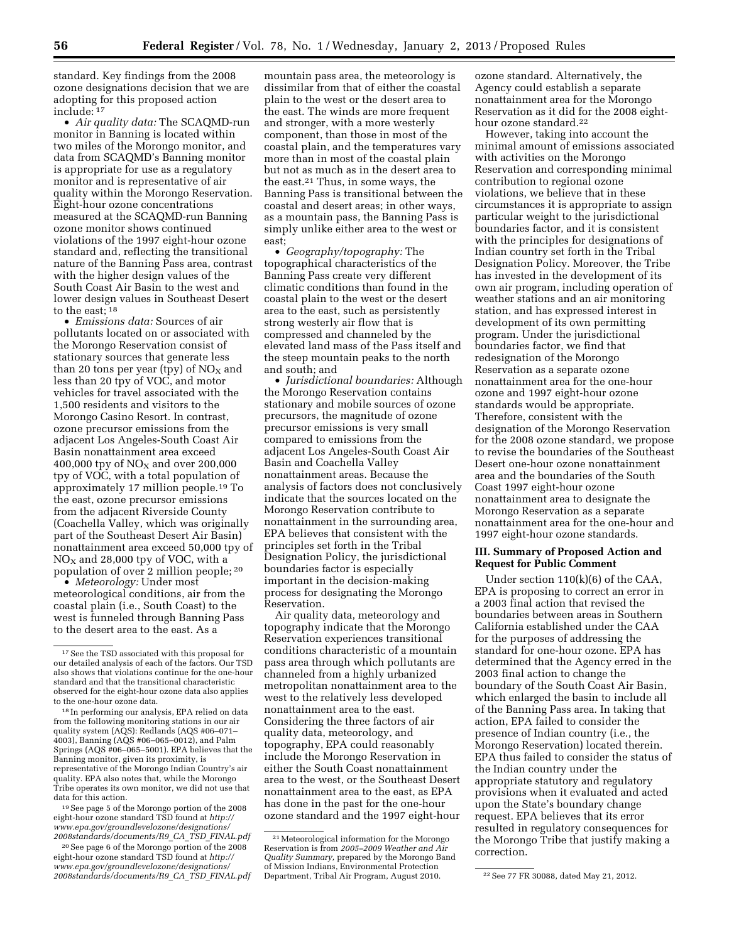standard. Key findings from the 2008 ozone designations decision that we are adopting for this proposed action include: 17

• *Air quality data:* The SCAQMD-run monitor in Banning is located within two miles of the Morongo monitor, and data from SCAQMD's Banning monitor is appropriate for use as a regulatory monitor and is representative of air quality within the Morongo Reservation. Eight-hour ozone concentrations measured at the SCAQMD-run Banning ozone monitor shows continued violations of the 1997 eight-hour ozone standard and, reflecting the transitional nature of the Banning Pass area, contrast with the higher design values of the South Coast Air Basin to the west and lower design values in Southeast Desert to the east; 18

• *Emissions data:* Sources of air pollutants located on or associated with the Morongo Reservation consist of stationary sources that generate less than 20 tons per year (tpy) of  $NO<sub>X</sub>$  and less than 20 tpy of VOC, and motor vehicles for travel associated with the 1,500 residents and visitors to the Morongo Casino Resort. In contrast, ozone precursor emissions from the adjacent Los Angeles-South Coast Air Basin nonattainment area exceed 400,000 tpy of  $NO<sub>X</sub>$  and over 200,000 tpy of VOC, with a total population of approximately 17 million people.19 To the east, ozone precursor emissions from the adjacent Riverside County (Coachella Valley, which was originally part of the Southeast Desert Air Basin) nonattainment area exceed 50,000 tpy of  $NO<sub>X</sub>$  and 28,000 tpy of VOC, with a population of over 2 million people; 20

• *Meteorology:* Under most meteorological conditions, air from the coastal plain (i.e., South Coast) to the west is funneled through Banning Pass to the desert area to the east. As a

19See page 5 of the Morongo portion of the 2008 eight-hour ozone standard TSD found at *[http://](http://www.epa.gov/groundlevelozone/designations/2008standards/documents/R9_CA_TSD_FINAL.pdf)  [www.epa.gov/groundlevelozone/designations/](http://www.epa.gov/groundlevelozone/designations/2008standards/documents/R9_CA_TSD_FINAL.pdf) [2008standards/documents/R9](http://www.epa.gov/groundlevelozone/designations/2008standards/documents/R9_CA_TSD_FINAL.pdf)*\_*CA*\_*TSD*\_*FINAL.pdf* 

20See page 6 of the Morongo portion of the 2008 eight-hour ozone standard TSD found at *[http://](http://www.epa.gov/groundlevelozone/designations/2008standards/documents/R9_CA_TSD_FINAL.pdf)  [www.epa.gov/groundlevelozone/designations/](http://www.epa.gov/groundlevelozone/designations/2008standards/documents/R9_CA_TSD_FINAL.pdf) [2008standards/documents/R9](http://www.epa.gov/groundlevelozone/designations/2008standards/documents/R9_CA_TSD_FINAL.pdf)*\_*CA*\_*TSD*\_*FINAL.pdf* 

mountain pass area, the meteorology is dissimilar from that of either the coastal plain to the west or the desert area to the east. The winds are more frequent and stronger, with a more westerly component, than those in most of the coastal plain, and the temperatures vary more than in most of the coastal plain but not as much as in the desert area to the east.21 Thus, in some ways, the Banning Pass is transitional between the coastal and desert areas; in other ways, as a mountain pass, the Banning Pass is simply unlike either area to the west or east;

• *Geography/topography:* The topographical characteristics of the Banning Pass create very different climatic conditions than found in the coastal plain to the west or the desert area to the east, such as persistently strong westerly air flow that is compressed and channeled by the elevated land mass of the Pass itself and the steep mountain peaks to the north and south; and

• *Jurisdictional boundaries:* Although the Morongo Reservation contains stationary and mobile sources of ozone precursors, the magnitude of ozone precursor emissions is very small compared to emissions from the adjacent Los Angeles-South Coast Air Basin and Coachella Valley nonattainment areas. Because the analysis of factors does not conclusively indicate that the sources located on the Morongo Reservation contribute to nonattainment in the surrounding area, EPA believes that consistent with the principles set forth in the Tribal Designation Policy, the jurisdictional boundaries factor is especially important in the decision-making process for designating the Morongo Reservation.

Air quality data, meteorology and topography indicate that the Morongo Reservation experiences transitional conditions characteristic of a mountain pass area through which pollutants are channeled from a highly urbanized metropolitan nonattainment area to the west to the relatively less developed nonattainment area to the east. Considering the three factors of air quality data, meteorology, and topography, EPA could reasonably include the Morongo Reservation in either the South Coast nonattainment area to the west, or the Southeast Desert nonattainment area to the east, as EPA has done in the past for the one-hour ozone standard and the 1997 eight-hour

ozone standard. Alternatively, the Agency could establish a separate nonattainment area for the Morongo Reservation as it did for the 2008 eighthour ozone standard.<sup>22</sup>

However, taking into account the minimal amount of emissions associated with activities on the Morongo Reservation and corresponding minimal contribution to regional ozone violations, we believe that in these circumstances it is appropriate to assign particular weight to the jurisdictional boundaries factor, and it is consistent with the principles for designations of Indian country set forth in the Tribal Designation Policy. Moreover, the Tribe has invested in the development of its own air program, including operation of weather stations and an air monitoring station, and has expressed interest in development of its own permitting program. Under the jurisdictional boundaries factor, we find that redesignation of the Morongo Reservation as a separate ozone nonattainment area for the one-hour ozone and 1997 eight-hour ozone standards would be appropriate. Therefore, consistent with the designation of the Morongo Reservation for the 2008 ozone standard, we propose to revise the boundaries of the Southeast Desert one-hour ozone nonattainment area and the boundaries of the South Coast 1997 eight-hour ozone nonattainment area to designate the Morongo Reservation as a separate nonattainment area for the one-hour and 1997 eight-hour ozone standards.

#### **III. Summary of Proposed Action and Request for Public Comment**

Under section 110(k)(6) of the CAA, EPA is proposing to correct an error in a 2003 final action that revised the boundaries between areas in Southern California established under the CAA for the purposes of addressing the standard for one-hour ozone. EPA has determined that the Agency erred in the 2003 final action to change the boundary of the South Coast Air Basin, which enlarged the basin to include all of the Banning Pass area. In taking that action, EPA failed to consider the presence of Indian country (i.e., the Morongo Reservation) located therein. EPA thus failed to consider the status of the Indian country under the appropriate statutory and regulatory provisions when it evaluated and acted upon the State's boundary change request. EPA believes that its error resulted in regulatory consequences for the Morongo Tribe that justify making a correction.

<sup>17</sup>See the TSD associated with this proposal for our detailed analysis of each of the factors. Our TSD also shows that violations continue for the one-hour standard and that the transitional characteristic observed for the eight-hour ozone data also applies to the one-hour ozone data.

<sup>18</sup> In performing our analysis, EPA relied on data from the following monitoring stations in our air quality system (AQS): Redlands (AQS #06–071– 4003), Banning (AQS #06–065–0012), and Palm Springs (AQS #06–065–5001). EPA believes that the Banning monitor, given its proximity, is representative of the Morongo Indian Country's air quality. EPA also notes that, while the Morongo Tribe operates its own monitor, we did not use that data for this action.

<sup>21</sup>Meteorological information for the Morongo Reservation is from *2005–2009 Weather and Air Quality Summary,* prepared by the Morongo Band of Mission Indians, Environmental Protection Department, Tribal Air Program, August 2010. <sup>22</sup> See 77 FR 30088, dated May 21, 2012.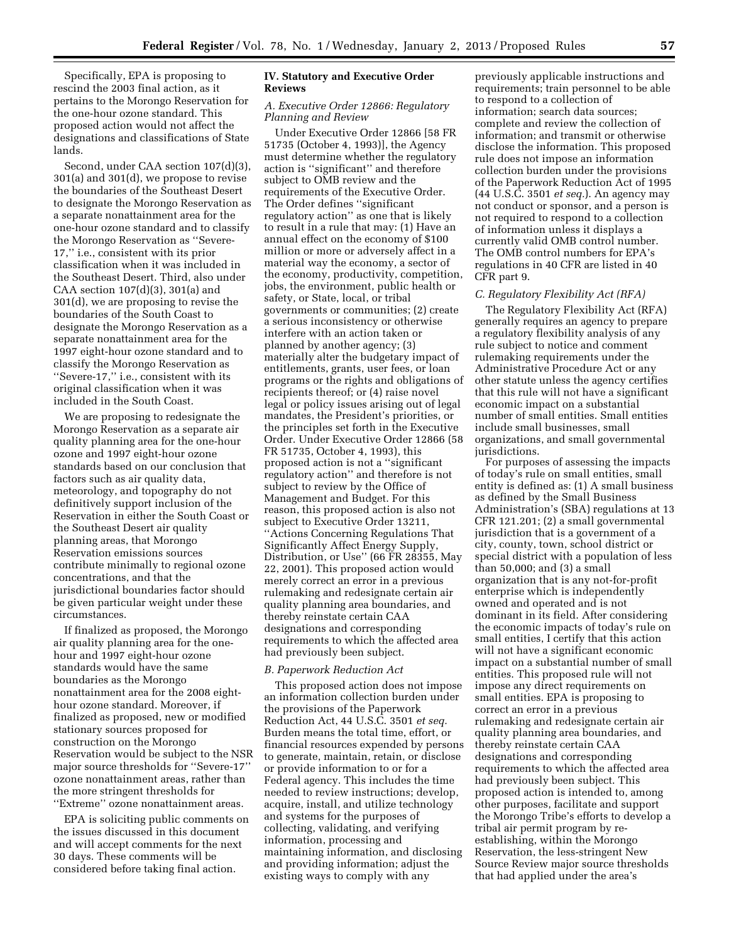Specifically, EPA is proposing to rescind the 2003 final action, as it pertains to the Morongo Reservation for the one-hour ozone standard. This proposed action would not affect the designations and classifications of State lands.

Second, under CAA section 107(d)(3), 301(a) and 301(d), we propose to revise the boundaries of the Southeast Desert to designate the Morongo Reservation as a separate nonattainment area for the one-hour ozone standard and to classify the Morongo Reservation as ''Severe-17,'' i.e., consistent with its prior classification when it was included in the Southeast Desert. Third, also under CAA section 107(d)(3), 301(a) and 301(d), we are proposing to revise the boundaries of the South Coast to designate the Morongo Reservation as a separate nonattainment area for the 1997 eight-hour ozone standard and to classify the Morongo Reservation as ''Severe-17,'' i.e., consistent with its original classification when it was included in the South Coast.

We are proposing to redesignate the Morongo Reservation as a separate air quality planning area for the one-hour ozone and 1997 eight-hour ozone standards based on our conclusion that factors such as air quality data, meteorology, and topography do not definitively support inclusion of the Reservation in either the South Coast or the Southeast Desert air quality planning areas, that Morongo Reservation emissions sources contribute minimally to regional ozone concentrations, and that the jurisdictional boundaries factor should be given particular weight under these circumstances.

If finalized as proposed, the Morongo air quality planning area for the onehour and 1997 eight-hour ozone standards would have the same boundaries as the Morongo nonattainment area for the 2008 eighthour ozone standard. Moreover, if finalized as proposed, new or modified stationary sources proposed for construction on the Morongo Reservation would be subject to the NSR major source thresholds for ''Severe-17'' ozone nonattainment areas, rather than the more stringent thresholds for ''Extreme'' ozone nonattainment areas.

EPA is soliciting public comments on the issues discussed in this document and will accept comments for the next 30 days. These comments will be considered before taking final action.

### **IV. Statutory and Executive Order Reviews**

### *A. Executive Order 12866: Regulatory Planning and Review*

Under Executive Order 12866 [58 FR 51735 (October 4, 1993)], the Agency must determine whether the regulatory action is ''significant'' and therefore subject to OMB review and the requirements of the Executive Order. The Order defines ''significant regulatory action'' as one that is likely to result in a rule that may: (1) Have an annual effect on the economy of \$100 million or more or adversely affect in a material way the economy, a sector of the economy, productivity, competition, jobs, the environment, public health or safety, or State, local, or tribal governments or communities; (2) create a serious inconsistency or otherwise interfere with an action taken or planned by another agency; (3) materially alter the budgetary impact of entitlements, grants, user fees, or loan programs or the rights and obligations of recipients thereof; or (4) raise novel legal or policy issues arising out of legal mandates, the President's priorities, or the principles set forth in the Executive Order. Under Executive Order 12866 (58 FR 51735, October 4, 1993), this proposed action is not a ''significant regulatory action'' and therefore is not subject to review by the Office of Management and Budget. For this reason, this proposed action is also not subject to Executive Order 13211, ''Actions Concerning Regulations That Significantly Affect Energy Supply, Distribution, or Use'' (66 FR 28355, May 22, 2001). This proposed action would merely correct an error in a previous rulemaking and redesignate certain air quality planning area boundaries, and thereby reinstate certain CAA designations and corresponding requirements to which the affected area had previously been subject.

#### *B. Paperwork Reduction Act*

This proposed action does not impose an information collection burden under the provisions of the Paperwork Reduction Act, 44 U.S.C. 3501 *et seq.*  Burden means the total time, effort, or financial resources expended by persons to generate, maintain, retain, or disclose or provide information to or for a Federal agency. This includes the time needed to review instructions; develop, acquire, install, and utilize technology and systems for the purposes of collecting, validating, and verifying information, processing and maintaining information, and disclosing and providing information; adjust the existing ways to comply with any

previously applicable instructions and requirements; train personnel to be able to respond to a collection of information; search data sources; complete and review the collection of information; and transmit or otherwise disclose the information. This proposed rule does not impose an information collection burden under the provisions of the Paperwork Reduction Act of 1995 (44 U.S.C. 3501 *et seq.*). An agency may not conduct or sponsor, and a person is not required to respond to a collection of information unless it displays a currently valid OMB control number. The OMB control numbers for EPA's regulations in 40 CFR are listed in 40 CFR part 9.

#### *C. Regulatory Flexibility Act (RFA)*

The Regulatory Flexibility Act (RFA) generally requires an agency to prepare a regulatory flexibility analysis of any rule subject to notice and comment rulemaking requirements under the Administrative Procedure Act or any other statute unless the agency certifies that this rule will not have a significant economic impact on a substantial number of small entities. Small entities include small businesses, small organizations, and small governmental jurisdictions.

For purposes of assessing the impacts of today's rule on small entities, small entity is defined as: (1) A small business as defined by the Small Business Administration's (SBA) regulations at 13 CFR 121.201; (2) a small governmental jurisdiction that is a government of a city, county, town, school district or special district with a population of less than 50,000; and (3) a small organization that is any not-for-profit enterprise which is independently owned and operated and is not dominant in its field. After considering the economic impacts of today's rule on small entities, I certify that this action will not have a significant economic impact on a substantial number of small entities. This proposed rule will not impose any direct requirements on small entities. EPA is proposing to correct an error in a previous rulemaking and redesignate certain air quality planning area boundaries, and thereby reinstate certain CAA designations and corresponding requirements to which the affected area had previously been subject. This proposed action is intended to, among other purposes, facilitate and support the Morongo Tribe's efforts to develop a tribal air permit program by reestablishing, within the Morongo Reservation, the less-stringent New Source Review major source thresholds that had applied under the area's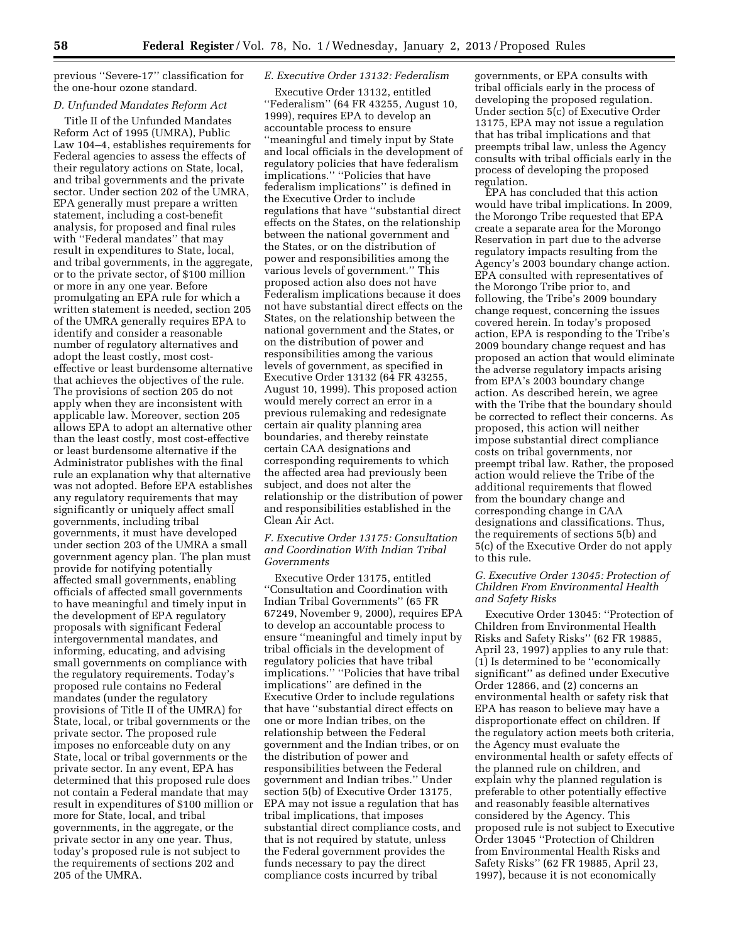previous ''Severe-17'' classification for the one-hour ozone standard.

#### *D. Unfunded Mandates Reform Act*

Title II of the Unfunded Mandates Reform Act of 1995 (UMRA), Public Law 104–4, establishes requirements for Federal agencies to assess the effects of their regulatory actions on State, local, and tribal governments and the private sector. Under section 202 of the UMRA, EPA generally must prepare a written statement, including a cost-benefit analysis, for proposed and final rules with ''Federal mandates'' that may result in expenditures to State, local, and tribal governments, in the aggregate, or to the private sector, of \$100 million or more in any one year. Before promulgating an EPA rule for which a written statement is needed, section 205 of the UMRA generally requires EPA to identify and consider a reasonable number of regulatory alternatives and adopt the least costly, most costeffective or least burdensome alternative that achieves the objectives of the rule. The provisions of section 205 do not apply when they are inconsistent with applicable law. Moreover, section 205 allows EPA to adopt an alternative other than the least costly, most cost-effective or least burdensome alternative if the Administrator publishes with the final rule an explanation why that alternative was not adopted. Before EPA establishes any regulatory requirements that may significantly or uniquely affect small governments, including tribal governments, it must have developed under section 203 of the UMRA a small government agency plan. The plan must provide for notifying potentially affected small governments, enabling officials of affected small governments to have meaningful and timely input in the development of EPA regulatory proposals with significant Federal intergovernmental mandates, and informing, educating, and advising small governments on compliance with the regulatory requirements. Today's proposed rule contains no Federal mandates (under the regulatory provisions of Title II of the UMRA) for State, local, or tribal governments or the private sector. The proposed rule imposes no enforceable duty on any State, local or tribal governments or the private sector. In any event, EPA has determined that this proposed rule does not contain a Federal mandate that may result in expenditures of \$100 million or more for State, local, and tribal governments, in the aggregate, or the private sector in any one year. Thus, today's proposed rule is not subject to the requirements of sections 202 and 205 of the UMRA.

# *E. Executive Order 13132: Federalism*

Executive Order 13132, entitled ''Federalism'' (64 FR 43255, August 10, 1999), requires EPA to develop an accountable process to ensure ''meaningful and timely input by State and local officials in the development of regulatory policies that have federalism implications.'' ''Policies that have federalism implications'' is defined in the Executive Order to include regulations that have ''substantial direct effects on the States, on the relationship between the national government and the States, or on the distribution of power and responsibilities among the various levels of government.'' This proposed action also does not have Federalism implications because it does not have substantial direct effects on the States, on the relationship between the national government and the States, or on the distribution of power and responsibilities among the various levels of government, as specified in Executive Order 13132 (64 FR 43255, August 10, 1999). This proposed action would merely correct an error in a previous rulemaking and redesignate certain air quality planning area boundaries, and thereby reinstate certain CAA designations and corresponding requirements to which the affected area had previously been subject, and does not alter the relationship or the distribution of power and responsibilities established in the Clean Air Act.

# *F. Executive Order 13175: Consultation and Coordination With Indian Tribal Governments*

Executive Order 13175, entitled ''Consultation and Coordination with Indian Tribal Governments'' (65 FR 67249, November 9, 2000), requires EPA to develop an accountable process to ensure ''meaningful and timely input by tribal officials in the development of regulatory policies that have tribal implications.'' ''Policies that have tribal implications'' are defined in the Executive Order to include regulations that have ''substantial direct effects on one or more Indian tribes, on the relationship between the Federal government and the Indian tribes, or on the distribution of power and responsibilities between the Federal government and Indian tribes.'' Under section 5(b) of Executive Order 13175, EPA may not issue a regulation that has tribal implications, that imposes substantial direct compliance costs, and that is not required by statute, unless the Federal government provides the funds necessary to pay the direct compliance costs incurred by tribal

governments, or EPA consults with tribal officials early in the process of developing the proposed regulation. Under section 5(c) of Executive Order 13175, EPA may not issue a regulation that has tribal implications and that preempts tribal law, unless the Agency consults with tribal officials early in the process of developing the proposed regulation.

EPA has concluded that this action would have tribal implications. In 2009, the Morongo Tribe requested that EPA create a separate area for the Morongo Reservation in part due to the adverse regulatory impacts resulting from the Agency's 2003 boundary change action. EPA consulted with representatives of the Morongo Tribe prior to, and following, the Tribe's 2009 boundary change request, concerning the issues covered herein. In today's proposed action, EPA is responding to the Tribe's 2009 boundary change request and has proposed an action that would eliminate the adverse regulatory impacts arising from EPA's 2003 boundary change action. As described herein, we agree with the Tribe that the boundary should be corrected to reflect their concerns. As proposed, this action will neither impose substantial direct compliance costs on tribal governments, nor preempt tribal law. Rather, the proposed action would relieve the Tribe of the additional requirements that flowed from the boundary change and corresponding change in CAA designations and classifications. Thus, the requirements of sections 5(b) and 5(c) of the Executive Order do not apply to this rule.

# *G. Executive Order 13045: Protection of Children From Environmental Health and Safety Risks*

Executive Order 13045: ''Protection of Children from Environmental Health Risks and Safety Risks'' (62 FR 19885, April 23, 1997) applies to any rule that: (1) Is determined to be ''economically significant'' as defined under Executive Order 12866, and (2) concerns an environmental health or safety risk that EPA has reason to believe may have a disproportionate effect on children. If the regulatory action meets both criteria, the Agency must evaluate the environmental health or safety effects of the planned rule on children, and explain why the planned regulation is preferable to other potentially effective and reasonably feasible alternatives considered by the Agency. This proposed rule is not subject to Executive Order 13045 ''Protection of Children from Environmental Health Risks and Safety Risks'' (62 FR 19885, April 23, 1997), because it is not economically